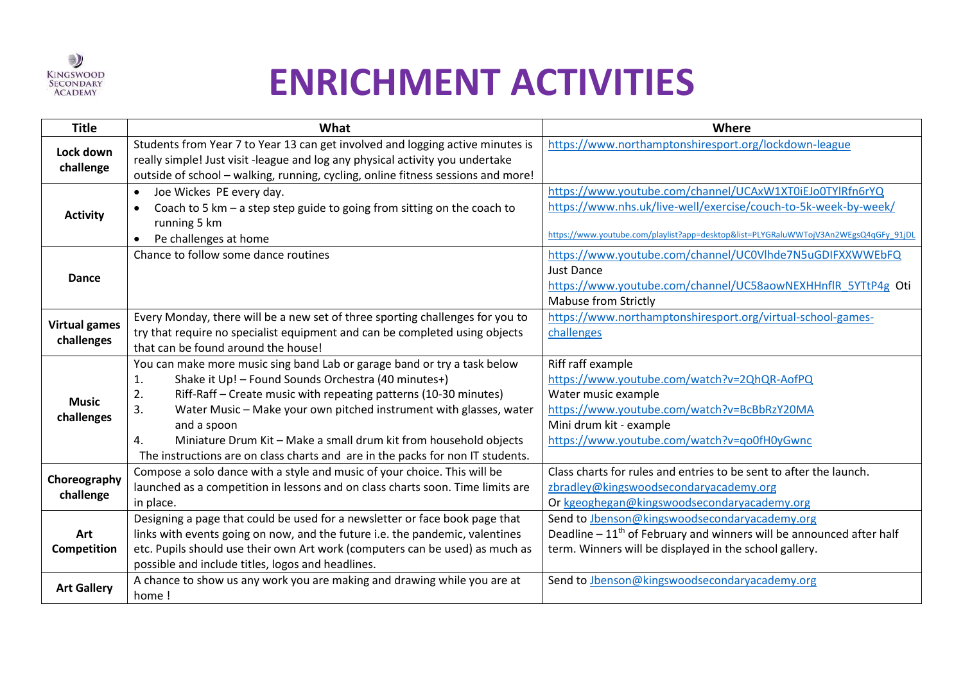

## **ENRICHMENT ACTIVITIES**

| <b>Title</b>                       | What                                                                             | Where                                                                                |
|------------------------------------|----------------------------------------------------------------------------------|--------------------------------------------------------------------------------------|
| Lock down<br>challenge             | Students from Year 7 to Year 13 can get involved and logging active minutes is   | https://www.northamptonshiresport.org/lockdown-league                                |
|                                    | really simple! Just visit -league and log any physical activity you undertake    |                                                                                      |
|                                    | outside of school - walking, running, cycling, online fitness sessions and more! |                                                                                      |
| <b>Activity</b>                    | Joe Wickes PE every day.                                                         | https://www.youtube.com/channel/UCAxW1XT0iEJo0TYlRfn6rYQ                             |
|                                    | Coach to 5 km $-$ a step step guide to going from sitting on the coach to        | https://www.nhs.uk/live-well/exercise/couch-to-5k-week-by-week/                      |
|                                    | running 5 km                                                                     |                                                                                      |
|                                    | Pe challenges at home<br>$\bullet$                                               | https://www.youtube.com/playlist?app=desktop&list=PLYGRaluWWTojV3An2WEgsQ4qGFy_91jDL |
| Dance                              | Chance to follow some dance routines                                             | https://www.youtube.com/channel/UC0Vlhde7N5uGDIFXXWWEbFQ                             |
|                                    |                                                                                  | <b>Just Dance</b>                                                                    |
|                                    |                                                                                  | https://www.youtube.com/channel/UC58aowNEXHHnflR 5YTtP4g Oti                         |
|                                    |                                                                                  | <b>Mabuse from Strictly</b>                                                          |
| <b>Virtual games</b><br>challenges | Every Monday, there will be a new set of three sporting challenges for you to    | https://www.northamptonshiresport.org/virtual-school-games-                          |
|                                    | try that require no specialist equipment and can be completed using objects      | challenges                                                                           |
|                                    | that can be found around the house!                                              |                                                                                      |
| <b>Music</b><br>challenges         | You can make more music sing band Lab or garage band or try a task below         | Riff raff example                                                                    |
|                                    | Shake it Up! - Found Sounds Orchestra (40 minutes+)<br>1.                        | https://www.youtube.com/watch?v=2QhQR-AofPQ                                          |
|                                    | 2.<br>Riff-Raff - Create music with repeating patterns (10-30 minutes)           | Water music example                                                                  |
|                                    | 3.<br>Water Music - Make your own pitched instrument with glasses, water         | https://www.youtube.com/watch?v=BcBbRzY20MA                                          |
|                                    | and a spoon                                                                      | Mini drum kit - example                                                              |
|                                    | Miniature Drum Kit - Make a small drum kit from household objects<br>4.          | https://www.youtube.com/watch?v=qo0fH0yGwnc                                          |
|                                    | The instructions are on class charts and are in the packs for non IT students.   |                                                                                      |
| Choreography<br>challenge          | Compose a solo dance with a style and music of your choice. This will be         | Class charts for rules and entries to be sent to after the launch.                   |
|                                    | launched as a competition in lessons and on class charts soon. Time limits are   | zbradley@kingswoodsecondaryacademy.org                                               |
|                                    | in place.                                                                        | Or kgeoghegan@kingswoodsecondaryacademy.org                                          |
| Art<br>Competition                 | Designing a page that could be used for a newsletter or face book page that      | Send to Jbenson@kingswoodsecondaryacademy.org                                        |
|                                    | links with events going on now, and the future i.e. the pandemic, valentines     | Deadline $-11th$ of February and winners will be announced after half                |
|                                    | etc. Pupils should use their own Art work (computers can be used) as much as     | term. Winners will be displayed in the school gallery.                               |
|                                    | possible and include titles, logos and headlines.                                |                                                                                      |
| <b>Art Gallery</b>                 | A chance to show us any work you are making and drawing while you are at         | Send to Jbenson@kingswoodsecondaryacademy.org                                        |
|                                    | home!                                                                            |                                                                                      |